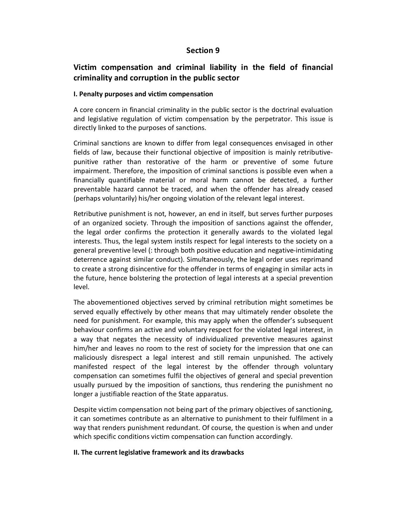## **Section 9**

# **Victim compensation and criminal liability in the field of financial criminality and corruption in the public sector**

#### **I. Penalty purposes and victim compensation**

A core concern in financial criminality in the public sector is the doctrinal evaluation and legislative regulation of victim compensation by the perpetrator. This issue is directly linked to the purposes of sanctions.

Criminal sanctions are known to differ from legal consequences envisaged in other fields of law, because their functional objective of imposition is mainly retributivepunitive rather than restorative of the harm or preventive of some future impairment. Therefore, the imposition of criminal sanctions is possible even when a financially quantifiable material or moral harm cannot be detected, a further preventable hazard cannot be traced, and when the offender has already ceased (perhaps voluntarily) his/her ongoing violation of the relevant legal interest.

Retributive punishment is not, however, an end in itself, but serves further purposes of an organized society. Through the imposition of sanctions against the offender, the legal order confirms the protection it generally awards to the violated legal interests. Thus, the legal system instils respect for legal interests to the society on a general preventive level (: through both positive education and negative-intimidating deterrence against similar conduct). Simultaneously, the legal order uses reprimand to create a strong disincentive for the offender in terms of engaging in similar acts in the future, hence bolstering the protection of legal interests at a special prevention level.

The abovementioned objectives served by criminal retribution might sometimes be served equally effectively by other means that may ultimately render obsolete the need for punishment. For example, this may apply when the offender's subsequent behaviour confirms an active and voluntary respect for the violated legal interest, in a way that negates the necessity of individualized preventive measures against him/her and leaves no room to the rest of society for the impression that one can maliciously disrespect a legal interest and still remain unpunished. The actively manifested respect of the legal interest by the offender through voluntary compensation can sometimes fulfil the objectives of general and special prevention usually pursued by the imposition of sanctions, thus rendering the punishment no longer a justifiable reaction of the State apparatus.

Despite victim compensation not being part of the primary objectives of sanctioning, it can sometimes contribute as an alternative to punishment to their fulfilment in a way that renders punishment redundant. Of course, the question is when and under which specific conditions victim compensation can function accordingly.

#### **ΙΙ. The current legislative framework and its drawbacks**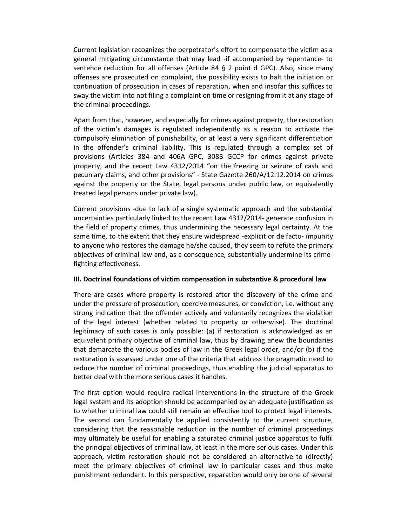Current legislation recognizes the perpetrator's effort to compensate the victim as a general mitigating circumstance that may lead -if accompanied by repentance- to sentence reduction for all offenses (Article 84 § 2 point d GPC). Also, since many offenses are prosecuted on complaint, the possibility exists to halt the initiation or continuation of prosecution in cases of reparation, when and insofar this suffices to sway the victim into not filing a complaint on time or resigning from it at any stage of the criminal proceedings.

Apart from that, however, and especially for crimes against property, the restoration of the victim's damages is regulated independently as a reason to activate the compulsory elimination of punishability, or at least a very significant differentiation in the offender's criminal liability. This is regulated through a complex set of provisions (Articles 384 and 406A GPC, 308B GCCP for crimes against private property, and the recent Law 4312/2014 "on the freezing or seizure of cash and pecuniary claims, and other provisions" - State Gazette 260/A/12.12.2014 on crimes against the property or the State, legal persons under public law, or equivalently treated legal persons under private law).

Current provisions -due to lack of a single systematic approach and the substantial uncertainties particularly linked to the recent Law 4312/2014- generate confusion in the field of property crimes, thus undermining the necessary legal certainty. At the same time, to the extent that they ensure widespread -explicit or de facto- impunity to anyone who restores the damage he/she caused, they seem to refute the primary objectives of criminal law and, as a consequence, substantially undermine its crimefighting effectiveness.

#### **ΙΙΙ. Doctrinal foundations of victim compensation in substantive & procedural law**

There are cases where property is restored after the discovery of the crime and under the pressure of prosecution, coercive measures, or conviction, i.e. without any strong indication that the offender actively and voluntarily recognizes the violation of the legal interest (whether related to property or otherwise). The doctrinal legitimacy of such cases is only possible: (a) if restoration is acknowledged as an equivalent primary objective of criminal law, thus by drawing anew the boundaries that demarcate the various bodies of law in the Greek legal order, and/or (b) if the restoration is assessed under one of the criteria that address the pragmatic need to reduce the number of criminal proceedings, thus enabling the judicial apparatus to better deal with the more serious cases it handles.

The first option would require radical interventions in the structure of the Greek legal system and its adoption should be accompanied by an adequate justification as to whether criminal law could still remain an effective tool to protect legal interests. The second can fundamentally be applied consistently to the current structure, considering that the reasonable reduction in the number of criminal proceedings may ultimately be useful for enabling a saturated criminal justice apparatus to fulfil the principal objectives of criminal law, at least in the more serious cases. Under this approach, victim restoration should not be considered an alternative to (directly) meet the primary objectives of criminal law in particular cases and thus make punishment redundant. In this perspective, reparation would only be one of several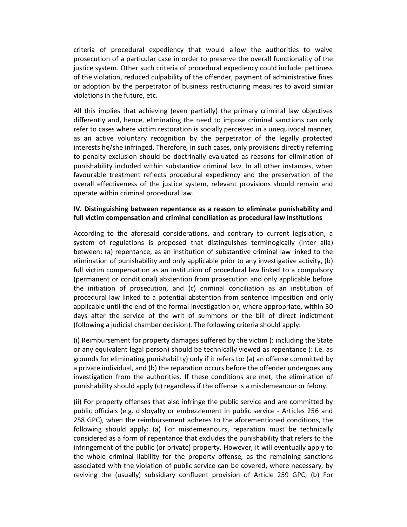criteria of procedural expediency that would allow the authorities to waive prosecution of a particular case in order to preserve the overall functionality of the justice system. Other such criteria of procedural expediency could include: pettiness of the violation, reduced culpability of the offender, payment of administrative fines or adoption by the perpetrator of business restructuring measures to avoid similar violations in the future, etc.

All this implies that achieving (even partially) the primary criminal law objectives differently and, hence, eliminating the need to impose criminal sanctions can only refer to cases where victim restoration is socially perceived in a unequivocal manner, as an active voluntary recognition by the perpetrator of the legally protected interests he/she infringed. Therefore, in such cases, only provisions directly referring to penalty exclusion should be doctrinally evaluated as reasons for elimination of punishability included within substantive criminal law. In all other instances, when favourable treatment reflects procedural expediency and the preservation of the overall effectiveness of the justice system, relevant provisions should remain and operate within criminal procedural law.

## **ΙV. Distinguishing between repentance as a reason to eliminate punishability and full victim compensation and criminal conciliation as procedural law institutions**

According to the aforesaid considerations, and contrary to current legislation, a system of regulations is proposed that distinguishes terminogically (inter alia) between: (a) repentance, as an institution of substantive criminal law linked to the elimination of punishability and only applicable prior to any investigative activity, (b) full victim compensation as an institution of procedural law linked to a compulsory (permanent or conditional) abstention from prosecution and only applicable before the initiation of prosecution, and (c) criminal conciliation as an institution of procedural law linked to a potential abstention from sentence imposition and only applicable until the end of the formal investigation or, where appropriate, within 30 days after the service of the writ of summons or the bill of direct indictment (following a judicial chamber decision). The following criteria should apply:

(i) Reimbursement for property damages suffered by the victim (: including the State or any equivalent legal person) should be technically viewed as repentance (: i.e. as grounds for eliminating punishability) only if it refers to: (a) an offense committed by a private individual, and (b) the reparation occurs before the offender undergoes any investigation from the authorities. If these conditions are met, the elimination of punishability should apply (c) regardless if the offense is a misdemeanour or felony.

(ii) For property offenses that also infringe the public service and are committed by public officials (e.g. disloyalty or embezzlement in public service - Articles 256 and 258 GPC), when the reimbursement adheres to the aforementioned conditions, the following should apply: (a) For misdemeanours, reparation must be technically considered as a form of repentance that excludes the punishability that refers to the infringement of the public (or private) property. However, it will eventually apply to the whole criminal liability for the property offense, as the remaining sanctions associated with the violation of public service can be covered, where necessary, by reviving the (usually) subsidiary confluent provision of Article 259 GPC; (b) For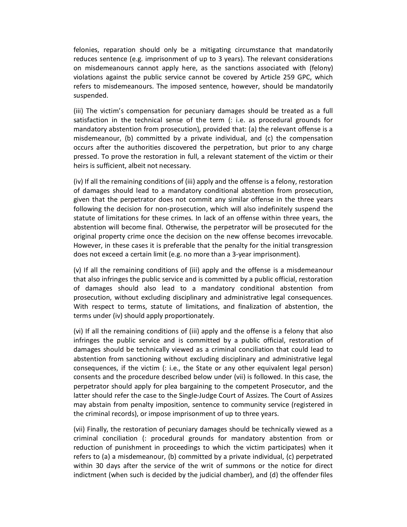felonies, reparation should only be a mitigating circumstance that mandatorily reduces sentence (e.g. imprisonment of up to 3 years). The relevant considerations on misdemeanours cannot apply here, as the sanctions associated with (felony) violations against the public service cannot be covered by Article 259 GPC, which refers to misdemeanours. The imposed sentence, however, should be mandatorily suspended.

(iii) The victim's compensation for pecuniary damages should be treated as a full satisfaction in the technical sense of the term (: i.e. as procedural grounds for mandatory abstention from prosecution), provided that: (a) the relevant offense is a misdemeanour, (b) committed by a private individual, and (c) the compensation occurs after the authorities discovered the perpetration, but prior to any charge pressed. To prove the restoration in full, a relevant statement of the victim or their heirs is sufficient, albeit not necessary.

(iv) If all the remaining conditions of (iii) apply and the offense is a felony, restoration of damages should lead to a mandatory conditional abstention from prosecution, given that the perpetrator does not commit any similar offense in the three years following the decision for non-prosecution, which will also indefinitely suspend the statute of limitations for these crimes. In lack of an offense within three years, the abstention will become final. Otherwise, the perpetrator will be prosecuted for the original property crime once the decision on the new offense becomes irrevocable. However, in these cases it is preferable that the penalty for the initial transgression does not exceed a certain limit (e.g. no more than a 3-year imprisonment).

(v) If all the remaining conditions of (iii) apply and the offense is a misdemeanour that also infringes the public service and is committed by a public official, restoration of damages should also lead to a mandatory conditional abstention from prosecution, without excluding disciplinary and administrative legal consequences. With respect to terms, statute of limitations, and finalization of abstention, the terms under (iv) should apply proportionately.

(vi) If all the remaining conditions of (iii) apply and the offense is a felony that also infringes the public service and is committed by a public official, restoration of damages should be technically viewed as a criminal conciliation that could lead to abstention from sanctioning without excluding disciplinary and administrative legal consequences, if the victim (: i.e., the State or any other equivalent legal person) consents and the procedure described below under (vii) is followed. In this case, the perpetrator should apply for plea bargaining to the competent Prosecutor, and the latter should refer the case to the Single-Judge Court of Assizes. The Court of Assizes may abstain from penalty imposition, sentence to community service (registered in the criminal records), or impose imprisonment of up to three years.

(vii) Finally, the restoration of pecuniary damages should be technically viewed as a criminal conciliation (: procedural grounds for mandatory abstention from or reduction of punishment in proceedings to which the victim participates) when it refers to (a) a misdemeanour, (b) committed by a private individual, (c) perpetrated within 30 days after the service of the writ of summons or the notice for direct indictment (when such is decided by the judicial chamber), and (d) the offender files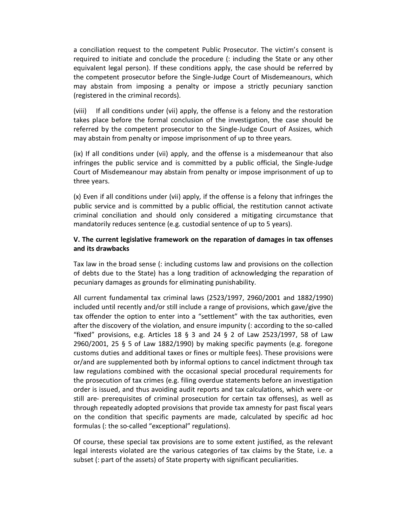a conciliation request to the competent Public Prosecutor. The victim's consent is required to initiate and conclude the procedure (: including the State or any other equivalent legal person). If these conditions apply, the case should be referred by the competent prosecutor before the Single-Judge Court of Misdemeanours, which may abstain from imposing a penalty or impose a strictly pecuniary sanction (registered in the criminal records).

(viii) If all conditions under (vii) apply, the offense is a felony and the restoration takes place before the formal conclusion of the investigation, the case should be referred by the competent prosecutor to the Single-Judge Court of Assizes, which may abstain from penalty or impose imprisonment of up to three years.

(ix) If all conditions under (vii) apply, and the offense is a misdemeanour that also infringes the public service and is committed by a public official, the Single-Judge Court of Misdemeanour may abstain from penalty or impose imprisonment of up to three years.

(x) Even if all conditions under (vii) apply, if the offense is a felony that infringes the public service and is committed by a public official, the restitution cannot activate criminal conciliation and should only considered a mitigating circumstance that mandatorily reduces sentence (e.g. custodial sentence of up to 5 years).

## **V. The current legislative framework on the reparation of damages in tax offenses and its drawbacks**

Tax law in the broad sense (: including customs law and provisions on the collection of debts due to the State) has a long tradition of acknowledging the reparation of pecuniary damages as grounds for eliminating punishability.

All current fundamental tax criminal laws (2523/1997, 2960/2001 and 1882/1990) included until recently and/or still include a range of provisions, which gave/give the tax offender the option to enter into a "settlement" with the tax authorities, even after the discovery of the violation, and ensure impunity (: according to the so-called "fixed" provisions, e.g. Articles 18 § 3 and 24 § 2 of Law 2523/1997, 58 of Law 2960/2001, 25 § 5 of Law 1882/1990) by making specific payments (e.g. foregone customs duties and additional taxes or fines or multiple fees). These provisions were or/and are supplemented both by informal options to cancel indictment through tax law regulations combined with the occasional special procedural requirements for the prosecution of tax crimes (e.g. filing overdue statements before an investigation order is issued, and thus avoiding audit reports and tax calculations, which were -or still are- prerequisites of criminal prosecution for certain tax offenses), as well as through repeatedly adopted provisions that provide tax amnesty for past fiscal years on the condition that specific payments are made, calculated by specific ad hoc formulas (: the so-called "exceptional" regulations).

Of course, these special tax provisions are to some extent justified, as the relevant legal interests violated are the various categories of tax claims by the State, i.e. a subset (: part of the assets) of State property with significant peculiarities.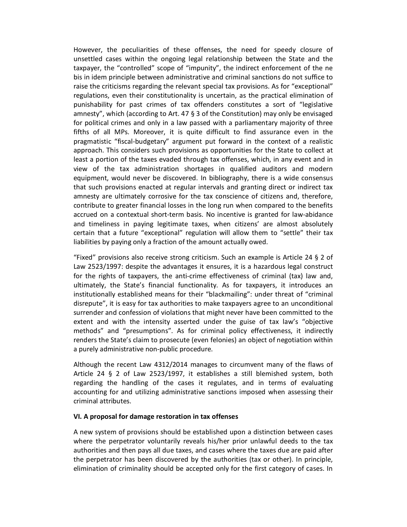However, the peculiarities of these offenses, the need for speedy closure of unsettled cases within the ongoing legal relationship between the State and the taxpayer, the "controlled" scope of "impunity", the indirect enforcement of the ne bis in idem principle between administrative and criminal sanctions do not suffice to raise the criticisms regarding the relevant special tax provisions. As for "exceptional" regulations, even their constitutionality is uncertain, as the practical elimination of punishability for past crimes of tax offenders constitutes a sort of "legislative amnesty", which (according to Art. 47 § 3 of the Constitution) may only be envisaged for political crimes and only in a law passed with a parliamentary majority of three fifths of all MPs. Moreover, it is quite difficult to find assurance even in the pragmatistic "fiscal-budgetary" argument put forward in the context of a realistic approach. This considers such provisions as opportunities for the State to collect at least a portion of the taxes evaded through tax offenses, which, in any event and in view of the tax administration shortages in qualified auditors and modern equipment, would never be discovered. In bibliography, there is a wide consensus that such provisions enacted at regular intervals and granting direct or indirect tax amnesty are ultimately corrosive for the tax conscience of citizens and, therefore, contribute to greater financial losses in the long run when compared to the benefits accrued on a contextual short-term basis. No incentive is granted for law-abidance and timeliness in paying legitimate taxes, when citizens' are almost absolutely certain that a future "exceptional" regulation will allow them to "settle" their tax liabilities by paying only a fraction of the amount actually owed.

"Fixed" provisions also receive strong criticism. Such an example is Article 24 § 2 of Law 2523/1997: despite the advantages it ensures, it is a hazardous legal construct for the rights of taxpayers, the anti-crime effectiveness of criminal (tax) law and, ultimately, the State's financial functionality. As for taxpayers, it introduces an institutionally established means for their "blackmailing": under threat of "criminal disrepute", it is easy for tax authorities to make taxpayers agree to an unconditional surrender and confession of violations that might never have been committed to the extent and with the intensity asserted under the guise of tax law's "objective methods" and "presumptions". As for criminal policy effectiveness, it indirectly renders the State's claim to prosecute (even felonies) an object of negotiation within a purely administrative non-public procedure.

Although the recent Law 4312/2014 manages to circumvent many of the flaws of Article 24 § 2 of Law 2523/1997, it establishes a still blemished system, both regarding the handling of the cases it regulates, and in terms of evaluating accounting for and utilizing administrative sanctions imposed when assessing their criminal attributes.

#### **VI. A proposal for damage restoration in tax offenses**

A new system of provisions should be established upon a distinction between cases where the perpetrator voluntarily reveals his/her prior unlawful deeds to the tax authorities and then pays all due taxes, and cases where the taxes due are paid after the perpetrator has been discovered by the authorities (tax or other). In principle, elimination of criminality should be accepted only for the first category of cases. In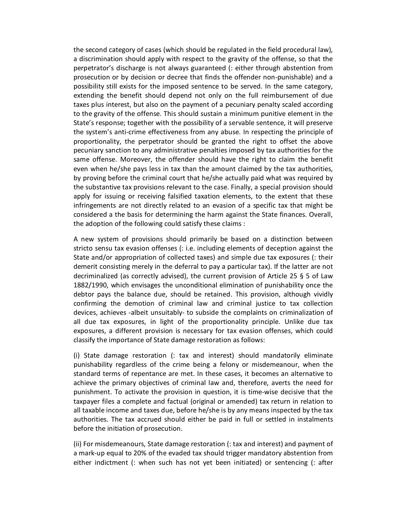the second category of cases (which should be regulated in the field procedural law), a discrimination should apply with respect to the gravity of the offense, so that the perpetrator's discharge is not always guaranteed (: either through abstention from prosecution or by decision or decree that finds the offender non-punishable) and a possibility still exists for the imposed sentence to be served. In the same category, extending the benefit should depend not only on the full reimbursement of due taxes plus interest, but also on the payment of a pecuniary penalty scaled according to the gravity of the offense. This should sustain a minimum punitive element in the State's response; together with the possibility of a servable sentence, it will preserve the system's anti-crime effectiveness from any abuse. In respecting the principle of proportionality, the perpetrator should be granted the right to offset the above pecuniary sanction to any administrative penalties imposed by tax authorities for the same offense. Moreover, the offender should have the right to claim the benefit even when he/she pays less in tax than the amount claimed by the tax authorities, by proving before the criminal court that he/she actually paid what was required by the substantive tax provisions relevant to the case. Finally, a special provision should apply for issuing or receiving falsified taxation elements, to the extent that these infringements are not directly related to an evasion of a specific tax that might be considered a the basis for determining the harm against the State finances. Overall, the adoption of the following could satisfy these claims :

A new system of provisions should primarily be based on a distinction between stricto sensu tax evasion offenses (: i.e. including elements of deception against the State and/or appropriation of collected taxes) and simple due tax exposures (: their demerit consisting merely in the deferral to pay a particular tax). If the latter are not decriminalized (as correctly advised), the current provision of Article 25 § 5 of Law 1882/1990, which envisages the unconditional elimination of punishability once the debtor pays the balance due, should be retained. This provision, although vividly confirming the demotion of criminal law and criminal justice to tax collection devices, achieves -albeit unsuitably- to subside the complaints on criminalization of all due tax exposures, in light of the proportionality principle. Unlike due tax exposures, a different provision is necessary for tax evasion offenses, which could classify the importance of State damage restoration as follows:

(i) State damage restoration (: tax and interest) should mandatorily eliminate punishability regardless of the crime being a felony or misdemeanour, when the standard terms of repentance are met. In these cases, it becomes an alternative to achieve the primary objectives of criminal law and, therefore, averts the need for punishment. To activate the provision in question, it is time-wise decisive that the taxpayer files a complete and factual (original or amended) tax return in relation to all taxable income and taxes due, before he/she is by any means inspected by the tax authorities. The tax accrued should either be paid in full or settled in instalments before the initiation of prosecution.

(ii) For misdemeanours, State damage restoration (: tax and interest) and payment of a mark-up equal to 20% of the evaded tax should trigger mandatory abstention from either indictment (: when such has not yet been initiated) or sentencing (: after